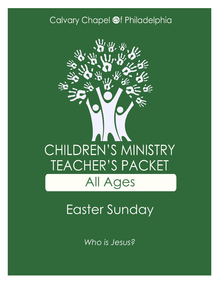### Calvary Chapel @f Philadelphia



# Easter Sunday

*Who is Jesus?*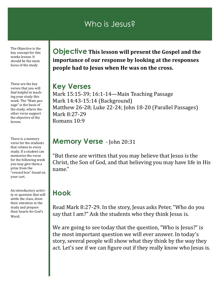### Who is Jesus?

The Objective is the key concept for this weeks lesson. It should be the main focus of the study

These are the key verses that you will find helpful in teaching your study this week. The "Main passage" is the basis of the study, where the other verse support the objective of the lesson.

There is a memory verse for the students that relates to every study. If a student can memorize the verse for the following week you may give them a prize from the "reward box" found on your cart.

An introductory activity or question that will settle the class, draw their attention to the study and prepare their hearts for God's Word.

**Objective This lesson will present the Gospel and the importance of our response by looking at the responses people had to Jesus when He was on the cross.**

### **Key Verses**

Mark 15:15-39; 16:1-14—Main Teaching Passage Mark 14:43-15:14 (Background) Matthew 26-28; Luke 22-24; John 18-20 (Parallel Passages) Mark 8:27-29 Romans 10:9

### **Memory Verse** - John 20:31

"But these are written that you may believe that Jesus is the Christ, the Son of God, and that believing you may have life in His name."

### **Hook**

Read Mark 8:27-29. In the story, Jesus asks Peter, "Who do you say that I am?" Ask the students who they think Jesus is.

We are going to see today that the question, "Who is Jesus?" is the most important question we will ever answer. In today's story, several people will show what they think by the way they act. Let's see if we can figure out if they really know who Jesus is.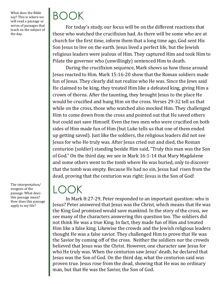What does the Bible say? This is where we will read a passage or series of passages that teach on the subject of the day.

BOOK

For today's study, our focus will be on the different reactions that those who watched the crucifixion had. As there will be some who are at church for the first time, inform them that a long time ago, God sent His Son Jesus to live on the earth. Jesus lived a perfect life, but the Jewish religious leaders were jealous of Him. They captured Him and took Him to Pilate the governor who (unwillingly) sentenced Him to death.

During the crucifixion sequence, Mark shows us how those around Jesus reacted to Him. Mark 15:16-20 show that the Roman soldiers made fun of Jesus. They clearly did not realize who He was. Since the Jews said He claimed to be king, they treated Him like a defeated king, giving Him a crown of thorns. After the taunting, they brought Jesus to the place He would be crucified and hung Him on the cross. Verses 29-32 tell us that while on the cross, those who watched also mocked Him. They challenged Him to come down from the cross and pointed out that He saved others but could not save Himself. Even the two men who were crucified on both sides of Him made fun of Him (but Luke tells us that one of them ended up getting saved). Just like the soldiers, the religious leaders did not see Jesus for who He truly was. After Jesus cried out and died, the Roman centurion (soldier) standing beside Him said, "Truly this man was the Son of God." On the third day, we see in Mark 16:1-14 that Mary Magdalene and some others went to the tomb where He was buried, only to discover that the tomb was empty. Because He had no sin, Jesus had risen from the dead, proving that the centurion was right: Jesus is the Son of God!

The interpretation/ exegesis of the passage. What does this passage mean? How does this passage apply to my life?

 $LOOK$ 

In Mark 8:27-29, Peter responded to an important question: who is Jesus? Peter answered that Jesus was the Christ, which means that He was the King God promised would save mankind. In the story of the cross, we see many of the characters answering this question too. The soldiers did not think He was a true King. In fact, they made fun of Him and treated Him like a false king. Likewise the crowds and the Jewish religious leaders thought He was a false savior. They challenged Him to prove that He was the Savior by coming off of the cross. Neither the soldiers nor the crowds believed that Jesus was the Christ. However, one character saw Jesus for who He truly was. When the centurion saw Jesus' death, he declared that Jesus was the Son of God. On the third day, what the centurion said was proven true. Jesus rose from the dead, showing that He was no ordinary man, but that He was the Savior, the Son of God.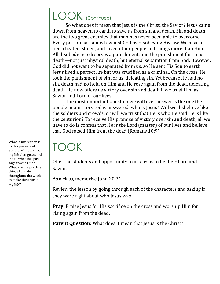## LOOK (Continued)

So what does it mean that Jesus is the Christ, the Savior? Jesus came down from heaven to earth to save us from sin and death. Sin and death are the two great enemies that man has never been able to overcome. Every person has sinned against God by disobeying His law. We have all lied, cheated, stolen, and loved other people and things more than Him. All disobedience deserves a punishment, and the punishment for sin is death—not just physical death, but eternal separation from God. However, God did not want to be separated from us, so He sent His Son to earth. Jesus lived a perfect life but was crucified as a criminal. On the cross, He took the punishment of sin for us, defeating sin. Yet because He had no sin, death had no hold on Him and He rose again from the dead, defeating death. He now offers us victory over sin and death if we trust Him as Savior and Lord of our lives.

The most important question we will ever answer is the one the people in our story today answered: who is Jesus? Will we disbelieve like the soldiers and crowds, or will we trust that He is who He said He is like the centurion? To receive His promise of victory over sin and death, all we have to do is confess that He is the Lord (master) of our lives and believe that God raised Him from the dead (Romans 10:9).

# TOOK

Offer the students and opportunity to ask Jesus to be their Lord and Savior.

As a class, memorize John 20:31.

Review the lesson by going through each of the characters and asking if they were right about who Jesus was.

**Pray:** Praise Jesus for His sacrifice on the cross and worship Him for rising again from the dead.

Parent Question: What does it mean that Jesus is the Christ?

What is my response to this passage of Scripture? How should my life change according to what this passage teaches me? What are the practical things I can do throughout the week to make this true in my life?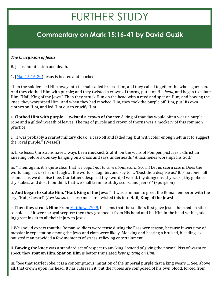# FURTHER STUDY

### **Commentary on Mark 15:16-41 by David Guzik**

#### *The Crucifixion of Jesus*

B. Jesus' humiliation and death.

1.  $(Mar 15:16-20)$  $(Mar 15:16-20)$  Jesus is beaten and mocked.

Then the soldiers led Him away into the hall called Praetorium, and they called together the whole garrison. And they clothed Him with purple; and they twisted a crown of thorns, put it on His *head*, and began to salute Him, "Hail, King of the Jews!" Then they struck Him on the head with a reed and spat on Him; and bowing the knee, they worshiped Him. And when they had mocked Him, they took the purple off Him, put His own clothes on Him, and led Him out to crucify Him.

a. **Clothed Him with purple … twisted a crown of thorns**: A king of that day would often wear a purple robe and a gilded wreath of leaves. The rag of purple and crown of thorns was a mockery of this common practice.

i. "It was probably a scarlet military cloak, 'a cast-off and faded rag, but with color enough left in it to suggest the royal purple." (Wessel)

ii. Like Jesus, Christians have always been **mocked**. Graffiti on the walls of Pompeii pictures a Christian kneeling before a donkey hanging on a cross and says underneath, "Anaximenes worships his God."

iii. "Then, again, it is quite clear that *we ought not to care about scorn*. Scorn! Let us scorn scorn. Does the world laugh at us? Let us laugh at the world's laughter, and say to it, 'Dost thou despise us? It is not one half as much as we despise thee. Our fathers despised thy sword, O world, thy dungeons, thy racks, thy gibbets, thy stakes, and dost thou think that we shall tremble at thy scoffs, and jeers?'" (Spurgeon)

b. **And began to salute Him, "Hail, King of the Jews!"** It was common to greet the Roman emperor with the cry, "Hail, Caesar!" (*Ave Caesar!*) These mockers twisted this into **Hail, King of the Jews!**

c. **Then they struck Him**: From [Matthew 27:29,](https://www.blueletterbible.org/kjv/matthew/27/29/s_956029) it seems that the soldiers first gave Jesus the **reed** - a stick to hold as if it were a royal scepter; then they grabbed it from His hand and hit Him in the head with it, adding great insult to all their injury to Jesus.

i. We should expect that the Roman soldiers were tense during the Passover season, because it was time of messianic expectation among the Jews and riots were likely. Mocking and beating a bruised, bleeding, exhausted man provided a few moments of stress-relieving entertainment.

ii. **Bowing the knee** was a standard act of respect to any king. Instead of giving the normal kiss of warm respect, they **spat on Him**. **Spat on Him** is better translated *kept spitting on Him*.

iii. "See that scarlet robe; it is a contemptuous imitation of the imperial purple that a king wears … See, above all, that crown upon his head. It has rubies in it, but the rubies are composed of his own blood, forced from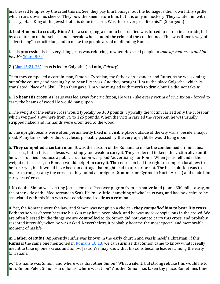his blessed temples by the cruel thorns. See, they pay him homage; but the homage is their own filthy spittle which runs down his cheeks. They bow the knee before him, but it is only in mockery. They salute him with the cry, 'Hail, King of the Jews!' but it is done in scorn. Was there ever grief like his?" (Spurgeon)

d. **Led Him out to crucify Him**: After a scourging, a man to be crucified was forced to march in a parade, led by a centurion on horseback and a herald who shouted the crime of the condemned. This was Rome's way of "advertising" a crucifixion, and to make the people afraid of offending Rome.

i. This procession is the very thing Jesus was referring to when He asked people to *take up your cross and follow Me* [\(Mark 8:34\)](https://www.blueletterbible.org/kjv/mark/8/34/s_965034).

2. ([Mar 15:21](https://www.blueletterbible.org/kjv/mark/15/21-23/s_972021)-23) Jesus is led to Golgotha (in Latin, *Calvary*).

Then they compelled a certain man, Simon a Cyrenian, the father of Alexander and Rufus, as he was coming out of the country and passing by, to bear His cross. And they brought Him to the place Golgotha, which is translated, Place of a Skull. Then they gave Him wine mingled with myrrh to drink, but He did not take *it*.

a. **To bear His cross**: As Jesus was led away for crucifixion, He was - like every victim of crucifixion - forced to carry the beams of wood He would hang upon.

i. The weight of the entire cross would typically be 300 pounds. Typically the victim carried only the crossbar, which weighed anywhere from 75 to 125 pounds. When the victim carried the crossbar, he was usually stripped naked and his hands were often tied to the wood.

ii. The upright beams were often permanently fixed in a visible place outside of the city walls, beside a major road. Many times before this day, Jesus probably passed by the very upright He would hang upon.

b. **They compelled a certain man**: It was the custom of the Romans to make the condemned criminal bear the cross, but in this case Jesus was simply too weak to carry it. They preferred to keep the victim alive until he was crucified, because a public crucifixion was good "advertising" for Rome. When Jesus fell under the weight of the cross, no Roman would help Him carry it. The centurion had the right to compel a local Jew to help carry it, but it would have been an outrage that might lead to uproar or riot. The best solution was to make a stranger carry the cross, so they found a foreigner (**Simon** from Cyrene in North Africa) and made him carry Jesus' cross.

i. No doubt, Simon was visiting Jerusalem as a Passover pilgrim from his native land (some 800 miles away, on the other side of the Mediterranean Sea). He knew little if anything of who Jesus was, and had no desire to be associated with this Man who was condemned to die as a criminal.

ii. Yet, the Romans were the law, and Simon was not given a choice - **they** *compelled* **him to bear His cross**. Perhaps he was chosen because his skin may have been black, and he was more conspicuous in the crowd. We are often blessed by the things we are **compelled** to do. Simon did not want to carry this cross, and probably resented it terribly when he was asked. Nevertheless, it probably became the most special and memorable moment of his life.

iii. **Father of Rufus**: Apparently Rufus was known in the early church and was himself a Christian. If this **Rufus** is the same one mentioned in [Romans 16:13,](https://www.blueletterbible.org/kjv/romans/16/13/s_1062013) we can surmise that Simon came to know what it really meant to take up one's cross and follow Jesus. We may know that his sons became leaders among the early Christians.

iv. "His name was Simon: and where was that other Simon? What a silent, but strong rebuke this would he to him. Simon Peter, Simon son of Jonas, where wast thou? Another Simon has taken thy place. Sometimes time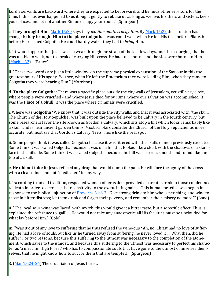Lord's servants are backward where they are expected to be forward, and he finds other servitors for the time. If this has ever happened to us it ought gently to rebuke us as long as we live. Brothers and sisters, keep your places, and let not another Simon occupy your room." (Spurgeon)

c. **They brought Him**: [Mark 15:20](https://www.blueletterbible.org/kjv/mark/15/20/s_972020) says they *led Him out to crucify Him*. By [Mark 15:22](https://www.blueletterbible.org/kjv/mark/15/22/s_972022) the situation has changed: **they brought Him to the place Golgotha**. Jesus could walk when He left His trial before Pilate, but before He reached Golgotha He could hardly walk - they had to *bring* Him.

i. "It would appear that Jesus was so weak through the strain of the last few days, and the scourging, that he was unable to walk, not to speak of carrying His cross. He had to be borne and the sick were borne to Him [\(Mark 1:32\)](https://www.blueletterbible.org/kjv/mark/1/32/s_958032)." (Bruce)

ii. "These two words are just a little window on the supreme physical exhaustion of the Saviour in this the greatest hour of His agony. You see, when He left the Praetorium they were leading Him; when they came to Golgotha they were bearing Him." (Morrison)

d. **To the place Golgotha**: There was a specific place outside the city walls of Jerusalem, yet still very close, where people were crucified - and where Jesus died for our sins, where our salvation was accomplished. It was the **Place of a Skull**; it was the place where criminals were crucified.

i. Where was **Golgotha**? We know that it was outside the city walls, and that it was associated with "the skull." The Church of the Holy Sepulcher was built upon the place believed to be Calvary in the fourth century, but some researchers favor the site known as Gordon's Calvary, which sits atop a hill which looks remarkably like a skull, and is near ancient garden tombs. Most scholars consider the Church of the Holy Sepulcher as more accurate, but most say that Gordon's Calvary "feels" more like the real spot.

ii. Some people think it was called Golgotha because it was littered with the skulls of men previously executed. Some think it was called Golgotha because it was on a hill that looked like a skull, with the shadows of a skull's face in the hillside. Some think it was called Golgotha because the hill was barren, smooth and round like the top of a skull.

e. **He did not take it**: Jesus refused any drug that would numb the pain. He will face the agony of the cross with a clear mind, and not "medicated" in any way.

i. "According to an old tradition, respected women of Jerusalem provided a narcotic drink to those condemned to death in order to decrease their sensitivity to the excruciating pain … This human practice was begun in response to the biblical injunction of **[Proverbs 31:6](https://www.blueletterbible.org/kjv/proverbs/31/6-7/s_659006)-7:** 'Give strong drink to him who is perishing, and wine to those in bitter distress; let them drink and forget their poverty, and remember their misery no more.'" (Lane)

ii. "The local sour wine was 'laced' with myrrh; this would give it a bitter taste, but a soporific effect. Thus is explained the reference to 'gall' … He would not take any anaesthetic; all His faculties must be unclouded for what lay before Him." (Cole)

iii. "Was it out of any love to suffering that he thus refused the wine-cup? Ah, no; Christ had no love of suffering. He had a love of souls, but like us he turned away from suffering, he never loved it … Why, then, did he suffer? For two reasons: because this suffering to the utmost was necessary to the completion of the atonement, which saves to the utmost; and because this suffering to the utmost was necessary to perfect his character as 'a merciful High Priest' who has to compassionate souls that have gone to the utmost of miseries themselves; that he might know how to succor them that are tempted." (Spurgeon)

3. ([Mar 15:24](https://www.blueletterbible.org/kjv/mark/15/24-26/s_972024)-26) The crucifixion of Jesus Christ.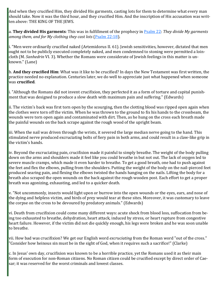And when they crucified Him, they divided His garments, casting lots for them to determine what every man should take. Now it was the third hour, and they crucified Him. And the inscription of His accusation was written above: THE KING OF THE JEWS.

a. **They divided His garments**: This was in fulfillment of the prophecy in [Psalm 22:](https://www.blueletterbible.org/kjv/psalms/22/1-31/s_500001) *They divide My garments among them, and for My clothing they cast lots* ([Psalm 22:18\).](https://www.blueletterbible.org/kjv/psalms/22/18/s_500018)

i. "Men were ordinarily crucified naked (Artemidorus II. 61). Jewish sensitivities, however, dictated that men ought not to be publicly executed completely naked, and men condemned to stoning were permitted a loincloth (M. *Sanhedrin* VI. 3). Whether the Romans were considerate of Jewish feelings in this matter is unknown." (Lane)

b. **And they crucified Him**: What was it like to be crucified? In days the New Testament was first written, the practice needed no explanation. Centuries later, we do well to appreciate just what happened when someone was **crucified**.

i. "Although the Romans did not invent crucifixion, they perfected it as a form of torture and capital punishment that was designed to produce a slow death with maximum pain and suffering." (Edwards)

ii. The victim's back was first torn open by the scourging, then the clotting blood was ripped open again when the clothes were torn off the victim. When he was thrown to the ground to fix his hands to the crossbeam, the wounds were torn open again and contaminated with dirt. Then, as he hung on the cross each breath made the painful wounds on the back scrape against the rough wood of the upright beam.

iii. When the nail was driven through the wrists, it severed the large median nerve going to the hand. This stimulated nerve produced excruciating bolts of fiery pain in both arms, and could result in a claw-like grip in the victim's hands.

iv. Beyond the excruciating pain, crucifixion made it painful to simply breathe. The weight of the body pulling down on the arms and shoulders made it feel like you could breathe in but not out. The lack of oxygen led to severe muscle cramps, which made it even harder to breathe. To get a good breath, one had to push against the feet and flex the elbows, pulling from the shoulders. Putting the weight of the body on the nail-pierced feet produced searing pain, and flexing the elbows twisted the hands hanging on the nails. Lifting the body for a breath also scraped the open wounds on the back against the rough wooden post. Each effort to get a proper breath was agonizing, exhausting, and led to a quicker death.

y. "Not uncommonly, insects would light upon or burrow into the open wounds or the eyes, ears, and nose of the dying and helpless victim, and birds of prey would tear at these sites. Moreover, it was customary to leave the corpse on the cross to be devoured by predatory animals." (Edwards)

vi. Death from crucifixion could come many different ways: acute shock from blood loss, suffocation from being too exhausted to breathe, dehydration, heart attack, induced by stress, or heart rupture from congestive heart failure. However, if the victim did not die quickly enough, his legs were broken and he was soon unable to breathe.

vii. How bad was crucifixion? We get our English word *excruciating* from the Roman word "out of the cross." "Consider how heinous sin must be in the sight of God, when it requires such a sacrifice!" (Clarke)

c. In Jesus' own day, crucifixion was known to be a horrible practice, yet the Romans used it as their main form of execution for non-Roman citizens. No Roman citizen could be crucified except by direct order of Caesar; it was reserved for the worst criminals and lowest classes.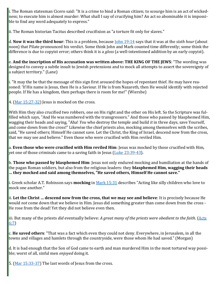i. The Roman statesman Cicero said: "It is a crime to bind a Roman citizen; to scourge him is an act of wickedness; to execute him is almost murder: What shall I say of crucifying him? An act so abominable it is impossible to find any word adequately to express."

ii. The Roman historian Tacitus described crucifixion as "a torture fit only for slaves."

d. **Now it was the third hour**: This is a problem, because [John 19:14](https://www.blueletterbible.org/kjv/john/19/14/s_1016014) says that it was at the *sixth hour* (about noon) that Pilate pronounced his verdict. Some think John and Mark counted time differently; some think the difference is due to copyist error; others think it is a *gloss* (a well-intentioned addition by an early copyist).

e. **And the inscription of His accusation was written above: THE KING OF THE JEWS**: "The wording was designed to convey a subtle insult to Jewish pretensions and to mock all attempts to assert the sovereignty of a subject territory." (Lane)

i. "It may the be that the message of this sign first aroused the hopes of repentant thief. He may have reasoned: 'If His name is Jesus, then He is a Saviour. If He is from Nazareth, then He would identify with rejected people. If He has a kingdom, then perhaps there is room for me!" (Wiersbe)

4.  $(Mar 15:27-32)$  $(Mar 15:27-32)$  $(Mar 15:27-32)$  Jesus is mocked on the cross.

With Him they also crucified two robbers, one on His right and the other on His left. So the Scripture was fulfilled which says, "And He was numbered with the transgressors." And those who passed by blasphemed Him, wagging their heads and saying, "Aha! *You* who destroy the temple and build *it* in three days, save Yourself, and come down from the cross!" Likewise the chief priests also, mocking among themselves with the scribes, said, "He saved others; Himself He cannot save. Let the Christ, the King of Israel, descend now from the cross, that we may see and believe." Even those who were crucified with Him reviled Him.

a. **Even those who were crucified with Him reviled Him**: Jesus was mocked by those crucified with Him, yet one of those criminals came to a saving faith in Jesus (Luke  $23:39-43$ ).

b. **Those who passed by blasphemed Him**: Jesus not only endured mocking and humiliation at the hands of the pagan Roman soldiers, but also from the religious leaders: they **blasphemed Him, wagging their heads … they mocked and said among themselves, "He saved others, Himself He cannot save."**

i. Greek scholar A.T. Robinson says **mocking** in [Mark 15:31](https://www.blueletterbible.org/kjv/mark/15/31/s_972031) describes "Acting like silly children who love to mock one another."

ii. **Let the Christ … descend now from the cross, that we may see and believe**: It is precisely because He would *not* come down that we believe in Him. Jesus did something greater than come down from the cross - He rose from the dead! Yet they did not believe even then.

iii. But many of the priests *did* eventually believe: *A great many of the priests were obedient to the faith.* [\(Acts](https://www.blueletterbible.org/kjv/acts/6/7/s_1024007)  [6:7\)](https://www.blueletterbible.org/kjv/acts/6/7/s_1024007)

c. **He saved others**: "That was a fact which even they could not deny. Everywhere, in Jerusalem, in all the towns and villages and hamlets through the countryside, were those whom He had saved." (Morgan)

d. It is bad enough that the Son of God came to earth and man murdered Him in the most tortured way possible; worst of all, sinful men *enjoyed* doing it.

5. ([Mar 15:33](https://www.blueletterbible.org/kjv/mark/15/33-37/s_972033)-37) The last words of Jesus from the cross.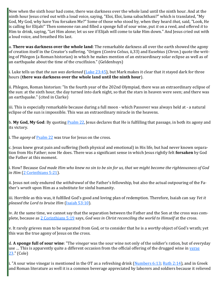Now when the sixth hour had come, there was darkness over the whole land until the ninth hour. And at the ninth hour Jesus cried out with a loud voice, saying, "Eloi, Eloi, lama sabachthani?" which is translated, "My God, My God, why have You forsaken Me?" Some of those who stood by, when they heard *that,* said, "Look, He is calling for Elijah!" Then someone ran and filled a sponge full of sour wine, put *it* on a reed, and offered *it* to Him to drink, saying, "Let Him alone; let us see if Elijah will come to take Him down." And Jesus cried out with a loud voice, and breathed His last.

a. **There was darkness over the whole land**: The remarkable darkness all over the earth showed the agony of creation itself in the Creator's suffering. "Origen (*Contra Celsus*, ii,33) and Eusebius (*Chron.*) quote the writing of Phlegon (a Roman historian) in which he makes mention of an extraordinary solar eclipse as well as of an earthquake about the time of the crucifixion." (Geldenhuys)

i. Luke tells us that *the sun was darkened* [\(Luke 23:45\)](https://www.blueletterbible.org/kjv/luke/23/45/s_996045), but Mark makes it clear that it stayed dark for three hours (**there was darkness over the whole land until the ninth hour**).

ii. Phlegon, Roman historian: "In the fourth year of the 202nd Olympiad, there was an extraordinary eclipse of the sun: at the sixth hour, the day turned into dark night, so that the stars in heaven were seen; and there was an earthquake." (cited in Clarke)

iii. This is especially remarkable because during a full moon - which Passover was always held at - a natural eclipse of the sun is impossible. This was an extraordinary miracle in the heavens.

b. **My God, My God**: By quoting [Psalm 22,](https://www.blueletterbible.org/kjv/psalms/22/1-31/s_500001) Jesus declares that He is fulfilling that passage, in both its agony and its victory.

i. The *agony* of **Psalm 22** was true for Jesus on the cross.

c. Jesus knew great pain and suffering (both physical and emotional) in His life, but had never known separation from His Father; now He does. There was a significant sense in which Jesus rightly felt **forsaken** by God the Father at this moment.

i. How? Because *God made Him who knew no sin to be sin for us, that we might become the righteousness of God in Him* ([2 Corinthians 5:21\)](https://www.blueletterbible.org/kjv/2corinthians/5/21/s_1083021).

ii. Jesus not only endured the *withdrawal* of the Father's fellowship, but also the actual outpouring of the Father's *wrath* upon Him as a substitute for sinful humanity.

iii. Horrible as this was, it fulfilled God's good and loving plan of redemption. Therefore, Isaiah can say *Yet it pleased the Lord to bruise Him* [\(Isaiah 53:10\).](https://www.blueletterbible.org/kjv/isaiah/53/10/s_732010)

iv. At the same time, we cannot say that the separation between the Father and the Son at the cross was complete, because as [2 Corinthians 5:19](https://www.blueletterbible.org/kjv/2corinthians/5/19/s_1083019) says, *God was in Christ reconciling the world to Himself* at the cross.

v. It rarely grieves man to be separated from God, or to consider that he is a *worthy* object of God's wrath; yet this was the true agony of Jesus on the cross.

d. **A sponge full of sour wine**: "The *vinegar* was the sour wine not only of the soldier's ration, but of everyday use ... This is apparently quite a different occasion from the official offering of the drugged wine in verse [23.](https://www.blueletterbible.org/kjv/mark/15/23/s_972023)" (Cole)

i. "A sour wine vinegar is mentioned in the OT as a refreshing drink [\(Numbers 6:13;](https://www.blueletterbible.org/kjv/numbers/6/13/s_123013) [Ruth 2:14\)](https://www.blueletterbible.org/kjv/ruth/2/14/s_234014), and in Greek and Roman literature as well it is a common beverage appreciated by laborers and soldiers because it relieved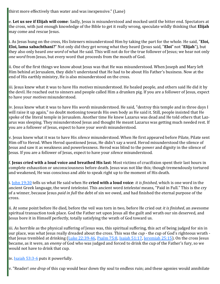thirst more effectively than water and was inexpensive." (Lane)

e. **Let us see if Elijah will come**: Sadly, Jesus is misunderstood and mocked until the bitter end. Spectators at the cross, with just enough knowledge of the Bible to get it really wrong, speculate wildly thinking that **Elijah** may come and rescue Jesus.

i. As Jesus hung on the cross, His listeners misunderstood Him by taking the part for the whole. He said, "**Eloi, Eloi, lama sabachthani?**" Not only did they get wrong what they heard (Jesus said, "**Eloi**" not "**Elijah**"), but they also only heard *one word* of what He said. This will not do for the true follower of Jesus; we hear not only *one word* from Jesus, but every word that proceeds from the mouth of God.

ii. One of the first things we know about Jesus was that He was misunderstood. When Joseph and Mary left Him behind at Jerusalem, they didn't understand that He had to be about His Father's business. Now at the end of His earthly ministry, He is also misunderstood on the cross.

iii. Jesus knew what it was to have His *motives* misunderstood. He healed people, and others said He did it by the devil. He reached out to sinners and people called Him a drunken pig. If you are a follower of Jesus, expect to have your *motives* misunderstood.

iv. Jesus knew what it was to have His *words* misunderstood. He said, "destroy this temple and in three days I will raise it up again," no doubt motioning towards His own body as He said it. Still, people insisted that He spoke of the literal temple in Jerusalem. Another time He knew Lazarus was dead and He told others that Lazarus was sleeping. They misunderstood Jesus and thought He meant Lazarus was getting much needed rest. If you are a follower of Jesus, expect to have your *words* misunderstood.

v. Jesus knew what it was to have His *silence* misunderstood. When He first appeared before Pilate, Pilate sent Him off to Herod. When Herod questioned Jesus, He didn't say a word. Herod misunderstood the silence of Jesus and saw it as weakness and powerlessness. Herod was blind to the power and dignity in the silence of Jesus. If you are a follower of Jesus, expect to have your *silence* misunderstood.

f. **Jesus cried with a loud voice and breathed His last**: Most victims of crucifixion spent their last hours in complete exhaustion or unconsciousness before death. Jesus was not like this; though tremendously tortured and weakened, He was conscious and able to speak right up to the moment of His death.

i. [John 19:30](https://www.blueletterbible.org/kjv/john/19/30/s_1016030) tells us what He said when He **cried with a loud voice**: *it is finished*, which is one word in the ancient Greek language, the word *tetelestai*. This ancient word *tetelestai* means, "Paid in Full." This is the cry of a winner, because Jesus *paid in full* the debt of sin we owed, and had finished the eternal purpose of the cross.

ii. At some point before He died, before the veil was torn in two, before He cried out *it is finished*, an awesome spiritual transaction took place. God the Father set upon Jesus all the guilt and wrath our sin deserved, and Jesus bore it in Himself perfectly, totally satisfying the wrath of God toward us.

iii. As horrible as the physical suffering of Jesus was, this spiritual suffering, this act of being judged for sin in our place, was what Jesus really dreaded about the cross. This was the *cup* - the cup of God's righteous wrath - that Jesus trembled at drinking [\(Luke 22:39](https://www.blueletterbible.org/kjv/luke/22/39-46/s_995039)-46, [Psalm 75:8,](https://www.blueletterbible.org/kjv/psalms/75/8/s_553008) [Isaiah 51:17,](https://www.blueletterbible.org/kjv/isaiah/51/17/s_730017) [Jeremiah 25:15\).](https://www.blueletterbible.org/kjv/jeremiah/25/15/s_770015) On the cross Jesus became, as it were, an *enemy* of God who was judged and forced to drink the cup of the Father's fury, so we would not have to drink that cup.

iv. [Isaiah 53:3](https://www.blueletterbible.org/kjv/isaiah/53/3-6/s_732003)-6 puts it powerfully.

v. "Reader! *one drop* of this cup would bear down thy soul to endless ruin; and these agonies would annihilate